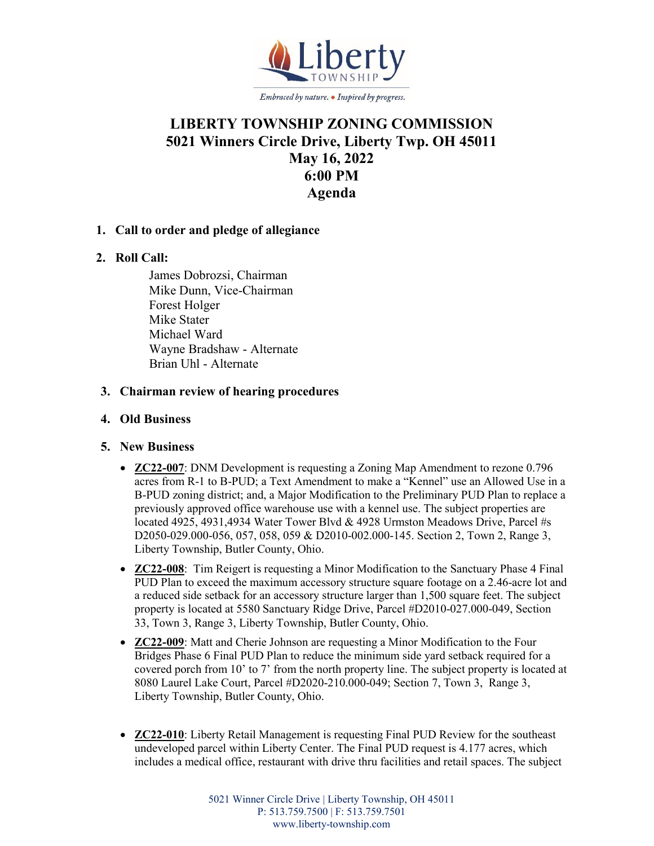

# **LIBERTY TOWNSHIP ZONING COMMISSION 5021 Winners Circle Drive, Liberty Twp. OH 45011 May 16, 2022 6:00 PM Agenda**

## **1. Call to order and pledge of allegiance**

## **2. Roll Call:**

James Dobrozsi, Chairman Mike Dunn, Vice-Chairman Forest Holger Mike Stater Michael Ward Wayne Bradshaw - Alternate Brian Uhl - Alternate

#### **3. Chairman review of hearing procedures**

#### **4. Old Business**

#### **5. New Business**

- **ZC22-007**: DNM Development is requesting a Zoning Map Amendment to rezone 0.796 acres from R-1 to B-PUD; a Text Amendment to make a "Kennel" use an Allowed Use in a B-PUD zoning district; and, a Major Modification to the Preliminary PUD Plan to replace a previously approved office warehouse use with a kennel use. The subject properties are located 4925, 4931,4934 Water Tower Blvd & 4928 Urmston Meadows Drive, Parcel #s D2050-029.000-056, 057, 058, 059 & D2010-002.000-145. Section 2, Town 2, Range 3, Liberty Township, Butler County, Ohio.
- **ZC22-008**: Tim Reigert is requesting a Minor Modification to the Sanctuary Phase 4 Final PUD Plan to exceed the maximum accessory structure square footage on a 2.46-acre lot and a reduced side setback for an accessory structure larger than 1,500 square feet. The subject property is located at 5580 Sanctuary Ridge Drive, Parcel #D2010-027.000-049, Section 33, Town 3, Range 3, Liberty Township, Butler County, Ohio.
- **ZC22-009**: Matt and Cherie Johnson are requesting a Minor Modification to the Four Bridges Phase 6 Final PUD Plan to reduce the minimum side yard setback required for a covered porch from 10' to 7' from the north property line. The subject property is located at 8080 Laurel Lake Court, Parcel #D2020-210.000-049; Section 7, Town 3, Range 3, Liberty Township, Butler County, Ohio.
- **ZC22-010**: Liberty Retail Management is requesting Final PUD Review for the southeast undeveloped parcel within Liberty Center. The Final PUD request is 4.177 acres, which includes a medical office, restaurant with drive thru facilities and retail spaces. The subject